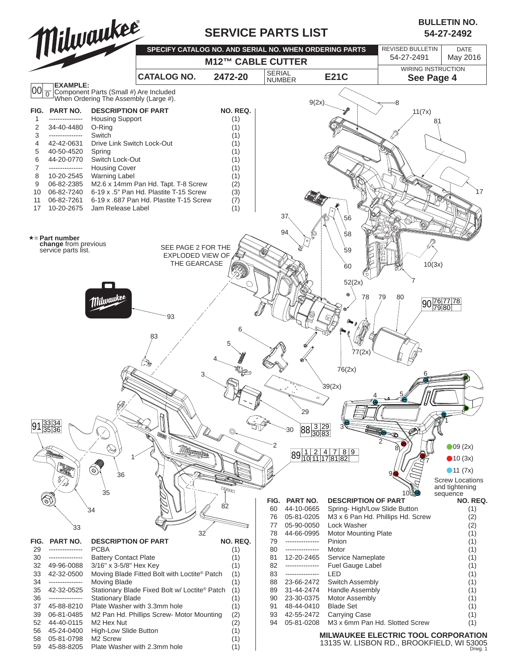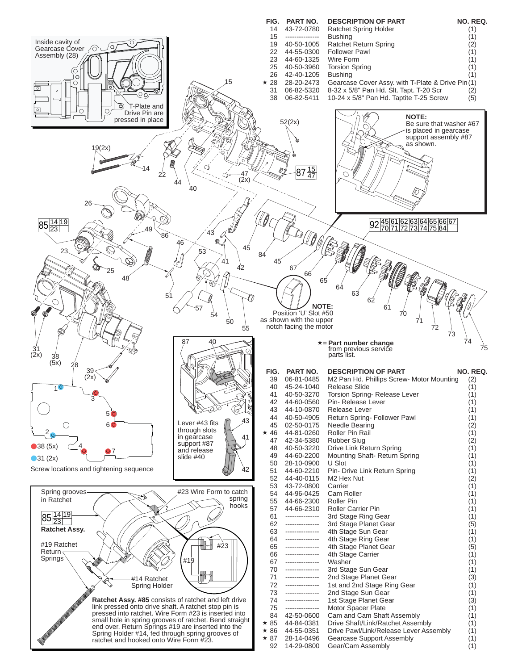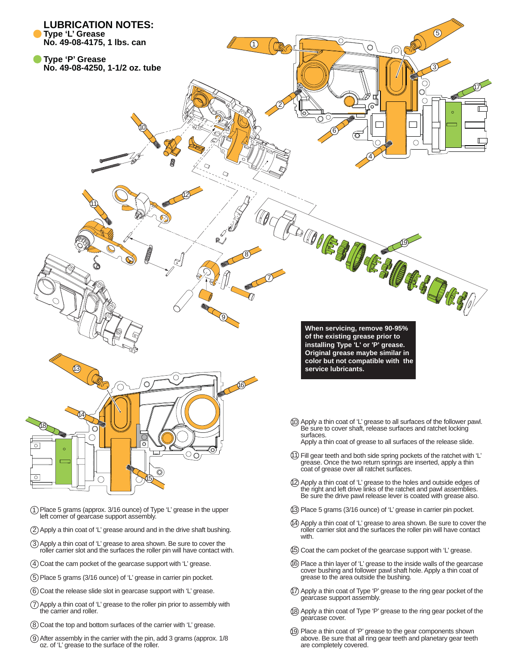

- 14 Apply a thin coat of 'L' grease to area shown. Be sure to cover the roller carrier slot and the surfaces the roller pin will have contact with.
	- 15 Coat the cam pocket of the gearcase support with 'L' grease.
	- 16 Place a thin layer of 'L' grease to the inside walls of the gearcase cover bushing and follower pawl shaft hole. Apply a thin coat of grease to the area outside the bushing.
	- 17 Apply a thin coat of Type 'P' grease to the ring gear pocket of the gearcase support assembly.
	- 18 Apply a thin coat of Type 'P' grease to the ring gear pocket of the gearcase cover.
	- 19 Place a thin coat of 'P' grease to the gear components shown above. Be sure that all ring gear teeth and planetary gear teeth are completely covered.

1 Place 5 grams (approx. 3/16 ounce) of Type 'L' grease in the upper left corner of gearcase support assembly.

- 2 Apply a thin coat of 'L' grease around and in the drive shaft bushing.
- 3 Apply a thin coat of 'L' grease to area shown. Be sure to cover the roller carrier slot and the surfaces the roller pin will have contact with.
- 4 Coat the cam pocket of the gearcase support with 'L' grease.
- 5 Place 5 grams (3/16 ounce) of 'L' grease in carrier pin pocket.
- 6 Coat the release slide slot in gearcase support with 'L' grease.
- 7 Apply a thin coat of 'L' grease to the roller pin prior to assembly with the carrier and roller.
- 8 Coat the top and bottom surfaces of the carrier with 'L' grease.
- 9 After assembly in the carrier with the pin, add 3 grams (approx. 1/8 oz. of 'L' grease to the surface of the roller.